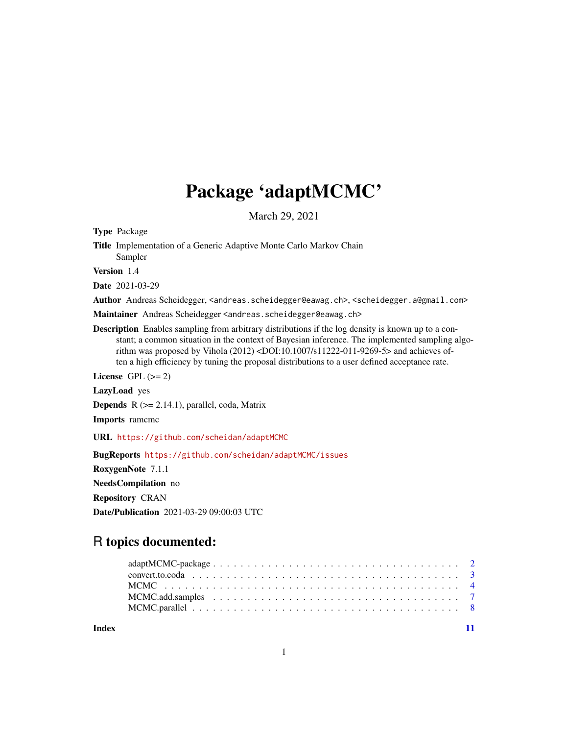# Package 'adaptMCMC'

March 29, 2021

<span id="page-0-0"></span>Type Package

Title Implementation of a Generic Adaptive Monte Carlo Markov Chain Sampler

Version 1.4

Date 2021-03-29

Author Andreas Scheidegger, <andreas.scheidegger@eawag.ch>, <scheidegger.a@gmail.com>

Maintainer Andreas Scheidegger <andreas.scheidegger@eawag.ch>

Description Enables sampling from arbitrary distributions if the log density is known up to a constant; a common situation in the context of Bayesian inference. The implemented sampling algorithm was proposed by Vihola (2012) <DOI:10.1007/s11222-011-9269-5> and achieves often a high efficiency by tuning the proposal distributions to a user defined acceptance rate.

License GPL  $(>= 2)$ 

LazyLoad yes

**Depends**  $R$  ( $>= 2.14.1$ ), parallel, coda, Matrix

Imports ramcmc

URL <https://github.com/scheidan/adaptMCMC>

BugReports <https://github.com/scheidan/adaptMCMC/issues>

RoxygenNote 7.1.1

NeedsCompilation no

Repository CRAN

Date/Publication 2021-03-29 09:00:03 UTC

# R topics documented:

**Index** [11](#page-10-0)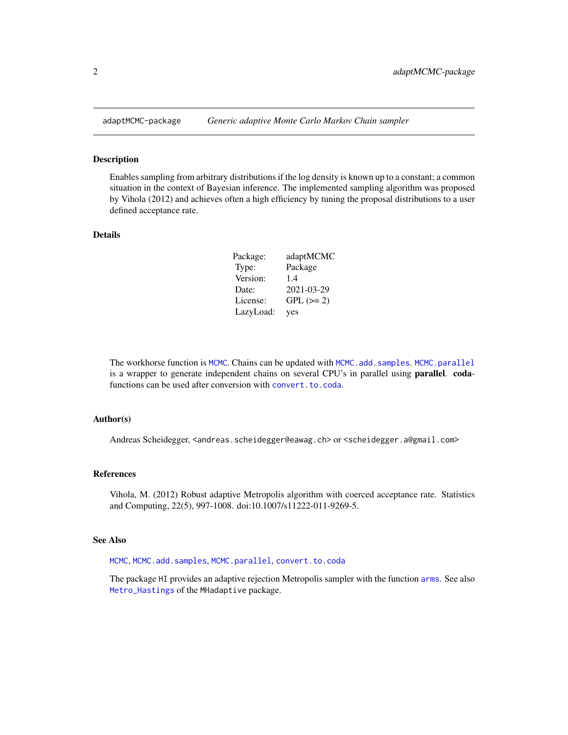<span id="page-1-0"></span>

#### Description

Enables sampling from arbitrary distributions if the log density is known up to a constant; a common situation in the context of Bayesian inference. The implemented sampling algorithm was proposed by Vihola (2012) and achieves often a high efficiency by tuning the proposal distributions to a user defined acceptance rate.

#### Details

| Package:  | adaptMCMC  |
|-----------|------------|
| Type:     | Package    |
| Version:  | 1.4        |
| Date:     | 2021-03-29 |
| License:  | $GPL (=2)$ |
| LazyLoad: | yes        |

The workhorse function is [MCMC](#page-3-1). Chains can be updated with [MCMC.add.samples](#page-6-1). [MCMC.parallel](#page-7-1) is a wrapper to generate independent chains on several CPU's in parallel using **parallel**. codafunctions can be used after conversion with convert, to, coda.

#### Author(s)

Andreas Scheidegger, <andreas.scheidegger@eawag.ch> or <scheidegger.a@gmail.com>

#### References

Vihola, M. (2012) Robust adaptive Metropolis algorithm with coerced acceptance rate. Statistics and Computing, 22(5), 997-1008. doi:10.1007/s11222-011-9269-5.

#### See Also

[MCMC](#page-3-1), [MCMC.add.samples](#page-6-1), [MCMC.parallel](#page-7-1), [convert.to.coda](#page-2-1)

The package HI provides an adaptive rejection Metropolis sampler with the function [arms](#page-0-0). See also [Metro\\_Hastings](#page-0-0) of the MHadaptive package.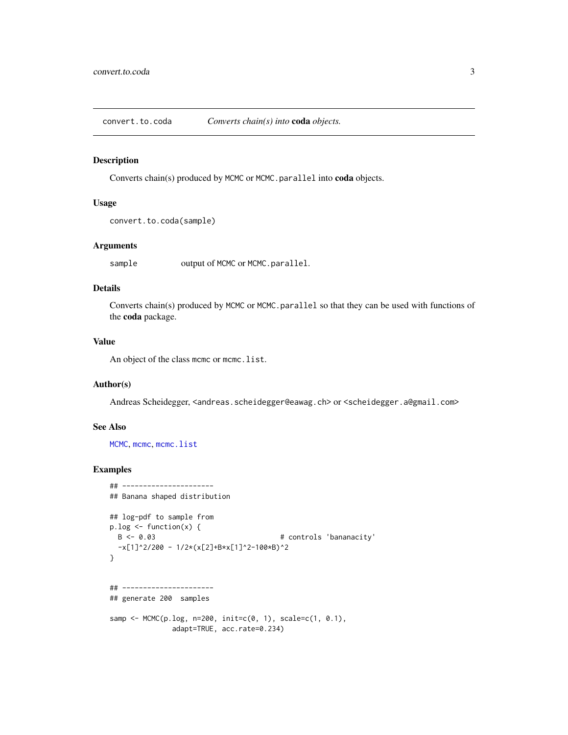<span id="page-2-1"></span><span id="page-2-0"></span>convert.to.coda *Converts chain(s) into* coda *objects.*

#### Description

Converts chain(s) produced by MCMC or MCMC.parallel into coda objects.

#### Usage

```
convert.to.coda(sample)
```
#### Arguments

sample output of MCMC or MCMC.parallel.

#### Details

Converts chain(s) produced by MCMC or MCMC.parallel so that they can be used with functions of the coda package.

#### Value

An object of the class mcmc or mcmc.list.

#### Author(s)

Andreas Scheidegger, <andreas.scheidegger@eawag.ch> or <scheidegger.a@gmail.com>

#### See Also

[MCMC](#page-3-1), [mcmc](#page-0-0), [mcmc.list](#page-0-0)

#### Examples

```
## ----------------------
## Banana shaped distribution
## log-pdf to sample from
p.log \leftarrow function(x) {<br>B \leftarrow 0.03# controls 'bananacity'
  -x[1]^2/200 - 1/2*(x[2]+B*x[1]^2-100*B)^2
}
## ----------------------
## generate 200 samples
samp <- MCMC(p.log, n=200, init=c(0, 1), scale=c(1, 0.1),
                adapt=TRUE, acc.rate=0.234)
```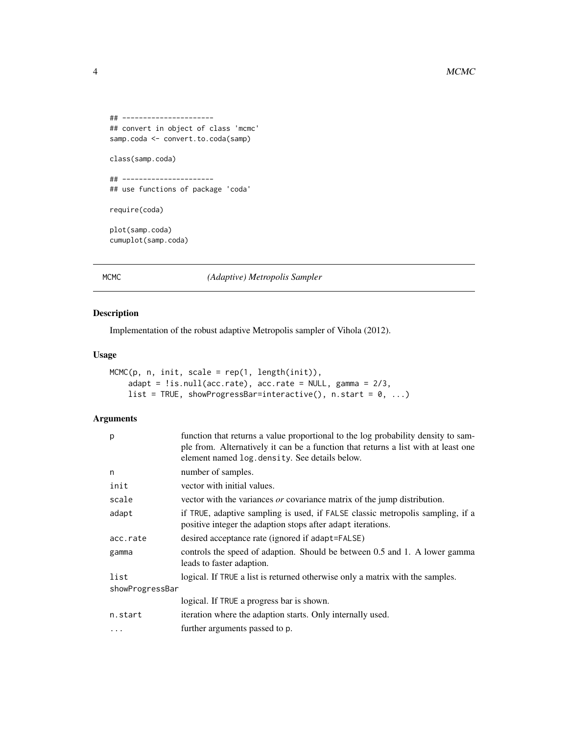```
## ----------------------
## convert in object of class 'mcmc'
samp.coda <- convert.to.coda(samp)
class(samp.coda)
## ----------------------
## use functions of package 'coda'
require(coda)
plot(samp.coda)
cumuplot(samp.coda)
```
<span id="page-3-1"></span>MCMC *(Adaptive) Metropolis Sampler*

#### Description

Implementation of the robust adaptive Metropolis sampler of Vihola (2012).

#### Usage

```
MCMC(p, n, init, scale = rep(1, length(init)),
    adapt = !is.null(acc.rate), acc.rate = NULL, gamma = <math>2/3</math>,list = TRUE, showProgressBar=interactive(), n.start = 0, ...)
```
#### Arguments

| p               | function that returns a value proportional to the log probability density to sam-<br>ple from. Alternatively it can be a function that returns a list with at least one<br>element named log.density. See details below. |  |
|-----------------|--------------------------------------------------------------------------------------------------------------------------------------------------------------------------------------------------------------------------|--|
| n               | number of samples.                                                                                                                                                                                                       |  |
| init            | vector with initial values.                                                                                                                                                                                              |  |
| scale           | vector with the variances <i>or</i> covariance matrix of the jump distribution.                                                                                                                                          |  |
| adapt           | if TRUE, adaptive sampling is used, if FALSE classic metropolis sampling, if a<br>positive integer the adaption stops after adapt iterations.                                                                            |  |
| acc.rate        | desired acceptance rate (ignored if adapt=FALSE)                                                                                                                                                                         |  |
| gamma           | controls the speed of adaption. Should be between 0.5 and 1. A lower gamma<br>leads to faster adaption.                                                                                                                  |  |
| list            | logical. If TRUE a list is returned otherwise only a matrix with the samples.                                                                                                                                            |  |
| showProgressBar |                                                                                                                                                                                                                          |  |
|                 | logical. If TRUE a progress bar is shown.                                                                                                                                                                                |  |
| n.start         | iteration where the adaption starts. Only internally used.                                                                                                                                                               |  |
| $\ddotsc$       | further arguments passed to p.                                                                                                                                                                                           |  |

<span id="page-3-0"></span>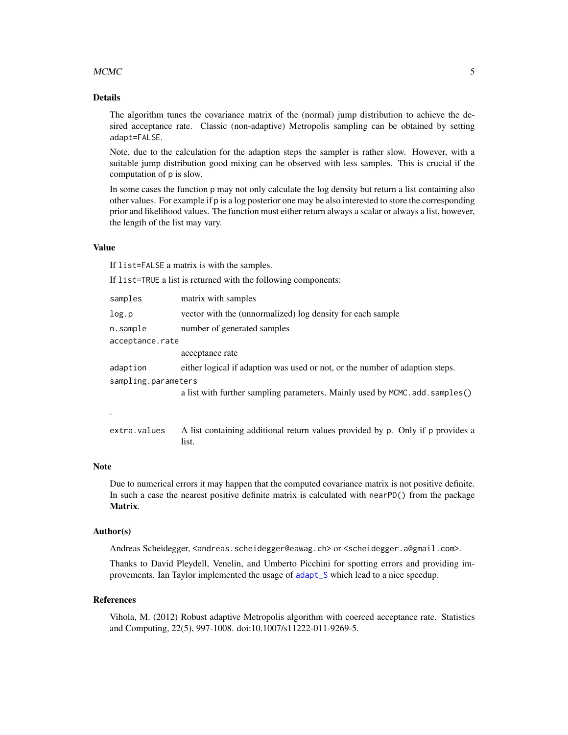#### <span id="page-4-0"></span> $MCMC$  5

#### Details

The algorithm tunes the covariance matrix of the (normal) jump distribution to achieve the desired acceptance rate. Classic (non-adaptive) Metropolis sampling can be obtained by setting adapt=FALSE.

Note, due to the calculation for the adaption steps the sampler is rather slow. However, with a suitable jump distribution good mixing can be observed with less samples. This is crucial if the computation of p is slow.

In some cases the function p may not only calculate the log density but return a list containing also other values. For example if p is a log posterior one may be also interested to store the corresponding prior and likelihood values. The function must either return always a scalar or always a list, however, the length of the list may vary.

#### Value

If list=FALSE a matrix is with the samples.

list.

If list=TRUE a list is returned with the following components:

| samples             | matrix with samples                                                            |
|---------------------|--------------------------------------------------------------------------------|
| log.p               | vector with the (unnormalized) log density for each sample                     |
| n.sample            | number of generated samples                                                    |
| acceptance.rate     |                                                                                |
|                     | acceptance rate                                                                |
| adaption            | either logical if adaption was used or not, or the number of adaption steps.   |
| sampling.parameters |                                                                                |
|                     | a list with further sampling parameters. Mainly used by MCMC. add. samples()   |
| ٠                   |                                                                                |
| extra.values        | A list containing additional return values provided by p. Only if p provides a |

#### Note

Due to numerical errors it may happen that the computed covariance matrix is not positive definite. In such a case the nearest positive definite matrix is calculated with nearPD() from the package Matrix.

#### Author(s)

Andreas Scheidegger, <andreas.scheidegger@eawag.ch> or <scheidegger.a@gmail.com>.

Thanks to David Pleydell, Venelin, and Umberto Picchini for spotting errors and providing improvements. Ian Taylor implemented the usage of [adapt\\_S](#page-0-0) which lead to a nice speedup.

#### References

Vihola, M. (2012) Robust adaptive Metropolis algorithm with coerced acceptance rate. Statistics and Computing, 22(5), 997-1008. doi:10.1007/s11222-011-9269-5.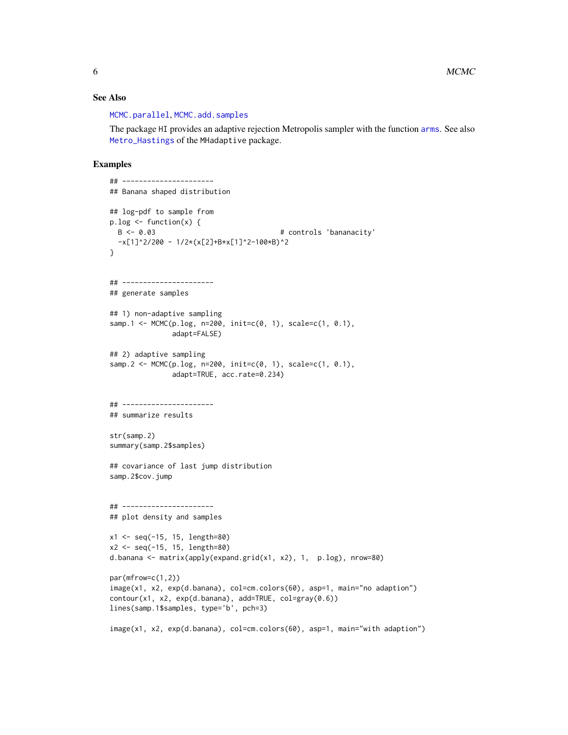<span id="page-5-0"></span>6 MCMC

#### See Also

[MCMC.parallel](#page-7-1), [MCMC.add.samples](#page-6-1)

The package HI provides an adaptive rejection Metropolis sampler with the function [arms](#page-0-0). See also [Metro\\_Hastings](#page-0-0) of the MHadaptive package.

#### Examples

```
## ----------------------
## Banana shaped distribution
## log-pdf to sample from
p.log \leftarrow function(x) {
 B \le -0.03 # controls 'bananacity'
 -x[1]^2/200 - 1/2*(x[2]+B*x[1]^2-100*B)^2
}
## ----------------------
## generate samples
## 1) non-adaptive sampling
samp.1 <- MCMC(p.log, n=200, init=c(0, 1), scale=c(1, 0.1),
              adapt=FALSE)
## 2) adaptive sampling
samp.2 <- MCMC(p.log, n=200, init=c(0, 1), scale=c(1, 0.1),
              adapt=TRUE, acc.rate=0.234)
## ----------------------
## summarize results
str(samp.2)
summary(samp.2$samples)
## covariance of last jump distribution
samp.2$cov.jump
## ----------------------
## plot density and samples
x1 <- seq(-15, 15, length=80)
x2 <- seq(-15, 15, length=80)
d.banana <- matrix(apply(expand.grid(x1, x2), 1, p.log), nrow=80)
par(mfrow=c(1,2))
image(x1, x2, exp(d.banana), col=cm.colors(60), asp=1, main="no adaption")
contour(x1, x2, exp(d.banana), add=TRUE, col=gray(0.6))
lines(samp.1$samples, type='b', pch=3)
image(x1, x2, exp(d.banana), col=cm.colors(60), asp=1, main="with adaption")
```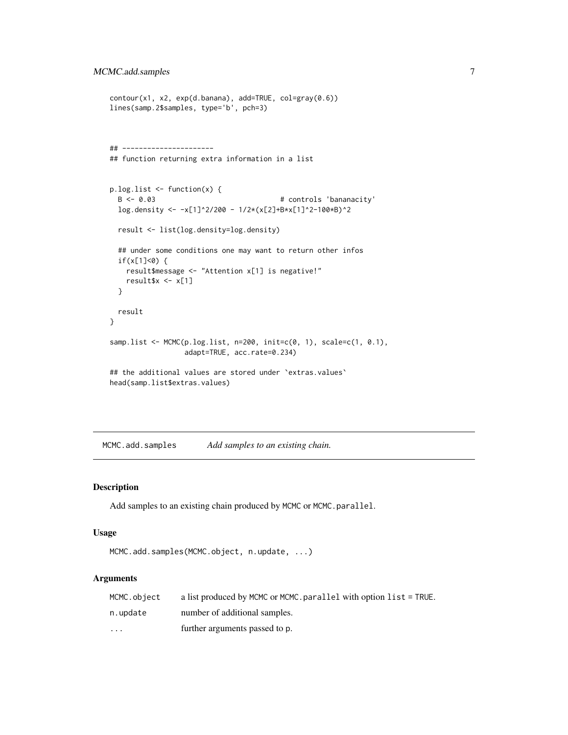```
contour(x1, x2, exp(d.banana), add=TRUE, col=gray(0.6))
lines(samp.2$samples, type='b', pch=3)
## ----------------------
## function returning extra information in a list
p.log.list <- function(x) {<br>B <- 0.03# controls 'bananacity'
  log.density <- -x[1]^2/200 - 1/2*(x[2]+B*x[1]^2-100*B)^2
  result <- list(log.density=log.density)
  ## under some conditions one may want to return other infos
  if(x[1]<0) {
   result$message <- "Attention x[1] is negative!"
   result$x <- x[1]}
  result
}
samp.list <- MCMC(p.log.list, n=200, init=c(0, 1), scale=c(1, 0.1),
                  adapt=TRUE, acc.rate=0.234)
## the additional values are stored under 'extras.values'
head(samp.list$extras.values)
```
<span id="page-6-1"></span>MCMC.add.samples *Add samples to an existing chain.*

#### Description

Add samples to an existing chain produced by MCMC or MCMC.parallel.

#### Usage

```
MCMC.add.samples(MCMC.object, n.update, ...)
```
#### Arguments

| MCMC.object | a list produced by MCMC or MCMC parallel with option list = TRUE. |
|-------------|-------------------------------------------------------------------|
| n.update    | number of additional samples.                                     |
| $\cdots$    | further arguments passed to p.                                    |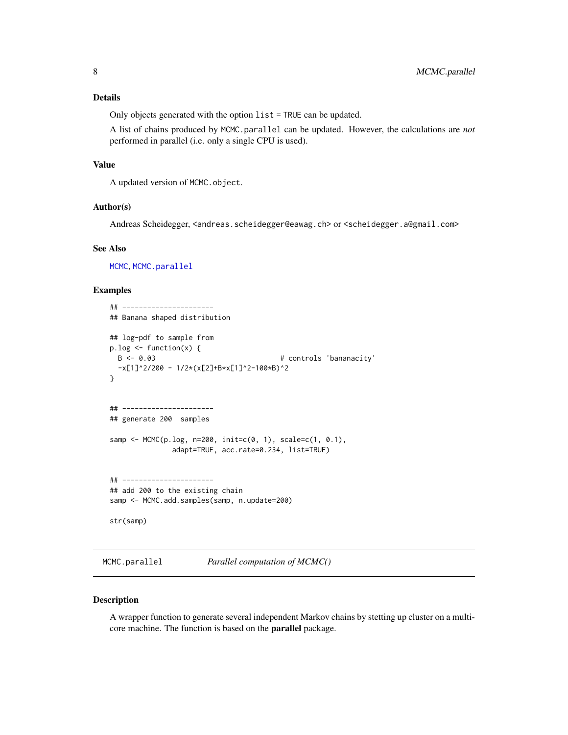#### <span id="page-7-0"></span>Details

Only objects generated with the option list = TRUE can be updated.

A list of chains produced by MCMC.parallel can be updated. However, the calculations are *not* performed in parallel (i.e. only a single CPU is used).

#### Value

A updated version of MCMC.object.

#### Author(s)

Andreas Scheidegger, <andreas.scheidegger@eawag.ch> or <scheidegger.a@gmail.com>

#### See Also

[MCMC](#page-3-1), [MCMC.parallel](#page-7-1)

#### Examples

```
## ----------------------
## Banana shaped distribution
## log-pdf to sample from
p.log <- function(x) {
 B \le -0.03 # controls 'bananacity'
 -x[1]^2/200 - 1/2*(x[2]+B*x[1]^2-100*B)^2
}
## ----------------------
## generate 200 samples
samp <- MCMC(p.log, n=200, init=c(0, 1), scale=c(1, 0.1),
              adapt=TRUE, acc.rate=0.234, list=TRUE)
## ----------------------
## add 200 to the existing chain
samp <- MCMC.add.samples(samp, n.update=200)
str(samp)
```
<span id="page-7-1"></span>MCMC.parallel *Parallel computation of MCMC()*

#### Description

A wrapper function to generate several independent Markov chains by stetting up cluster on a multicore machine. The function is based on the parallel package.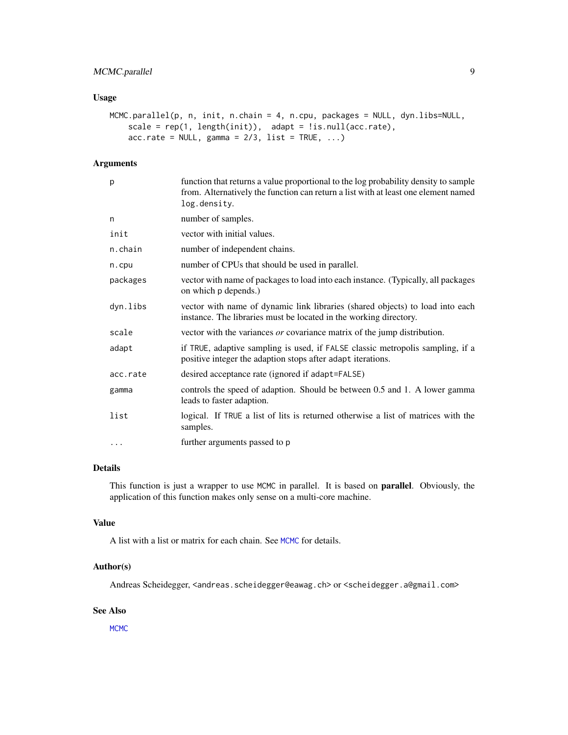#### <span id="page-8-0"></span>MCMC.parallel 9

#### Usage

```
MCMC.parallel(p, n, init, n.chain = 4, n.cpu, packages = NULL, dyn.libs=NULL,
    scale = rep(1, length(init)), adapt = !is.null(acc.rate),
    acc.rate = NULL, gamma = 2/3, list = TRUE, ...
```
#### Arguments

| p        | function that returns a value proportional to the log probability density to sample<br>from. Alternatively the function can return a list with at least one element named<br>log.density. |
|----------|-------------------------------------------------------------------------------------------------------------------------------------------------------------------------------------------|
| n        | number of samples.                                                                                                                                                                        |
| init     | vector with initial values.                                                                                                                                                               |
| n.chain  | number of independent chains.                                                                                                                                                             |
| n.cpu    | number of CPUs that should be used in parallel.                                                                                                                                           |
| packages | vector with name of packages to load into each instance. (Typically, all packages<br>on which p depends.)                                                                                 |
| dyn.libs | vector with name of dynamic link libraries (shared objects) to load into each<br>instance. The libraries must be located in the working directory.                                        |
| scale    | vector with the variances <i>or</i> covariance matrix of the jump distribution.                                                                                                           |
| adapt    | if TRUE, adaptive sampling is used, if FALSE classic metropolis sampling, if a<br>positive integer the adaption stops after adapt iterations.                                             |
| acc.rate | desired acceptance rate (ignored if adapt=FALSE)                                                                                                                                          |
| gamma    | controls the speed of adaption. Should be between 0.5 and 1. A lower gamma<br>leads to faster adaption.                                                                                   |
| list     | logical. If TRUE a list of lits is returned otherwise a list of matrices with the<br>samples.                                                                                             |
| $\cdots$ | further arguments passed to p                                                                                                                                                             |
|          |                                                                                                                                                                                           |

#### Details

This function is just a wrapper to use MCMC in parallel. It is based on parallel. Obviously, the application of this function makes only sense on a multi-core machine.

#### Value

A list with a list or matrix for each chain. See [MCMC](#page-3-1) for details.

#### Author(s)

Andreas Scheidegger, <andreas.scheidegger@eawag.ch> or <scheidegger.a@gmail.com>

### See Also

[MCMC](#page-3-1)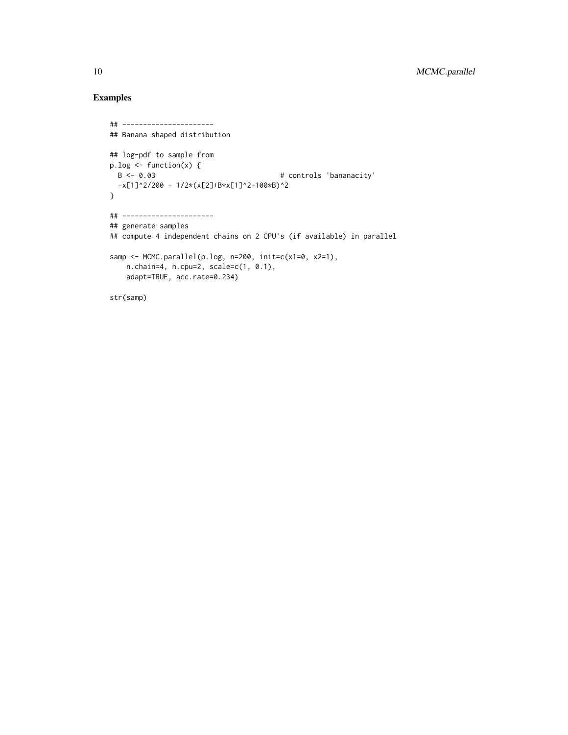## Examples

```
## ----------------------
## Banana shaped distribution
## log-pdf to sample from
p.log <- function(x) {
 B \le -0.03 # controls 'bananacity'
 -x[1]^2/200 - 1/2*(x[2]+B*x[1]^2-100*B)^2
}
## ----------------------
## generate samples
## compute 4 independent chains on 2 CPU's (if available) in parallel
samp <- MCMC.parallel(p.log, n=200, init=c(x1=0, x2=1),
   n.chain=4, n.cpu=2, scale=c(1, 0.1),
   adapt=TRUE, acc.rate=0.234)
str(samp)
```